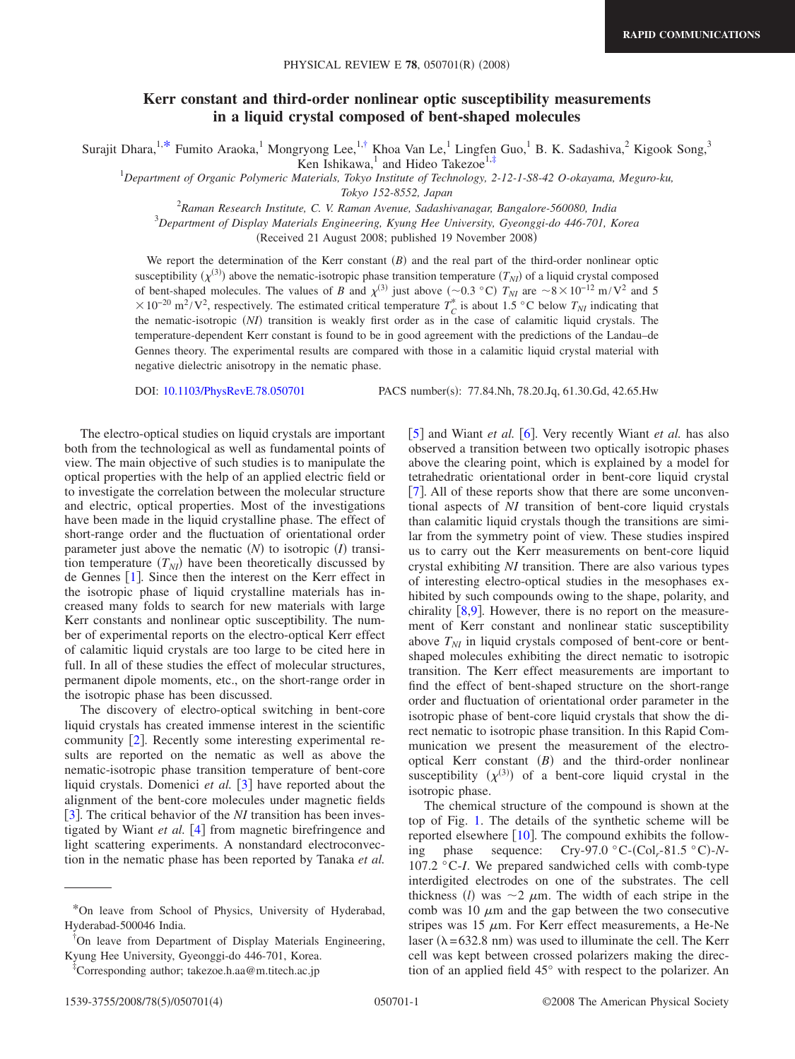## **Kerr constant and third-order nonlinear optic susceptibility measurements in a liquid crystal composed of bent-shaped molecules**

Surajit Dhara,<sup>1[,\\*](#page-0-0)</sup> Fumito Araoka,<sup>1</sup> Mongryong Lee,<sup>1[,†](#page-0-1)</sup> Khoa Van Le,<sup>1</sup> Lingfen Guo,<sup>1</sup> B. K. Sadashiva,<sup>2</sup> Kigook Song,<sup>3</sup>

Ken Ishikawa,<sup>1</sup> and Hideo Takezoe<sup>1[,‡](#page-0-2)</sup>

1 *Department of Organic Polymeric Materials, Tokyo Institute of Technology, 2-12-1-S8-42 O-okayama, Meguro-ku,*

*Tokyo 152-8552, Japan*

2 *Raman Research Institute, C. V. Raman Avenue, Sadashivanagar, Bangalore-560080, India*

3 *Department of Display Materials Engineering, Kyung Hee University, Gyeonggi-do 446-701, Korea*

Received 21 August 2008; published 19 November 2008-

We report the determination of the Kerr constant  $(B)$  and the real part of the third-order nonlinear optic susceptibility  $(\chi^{(3)})$  above the nematic-isotropic phase transition temperature  $(T_{NI})$  of a liquid crystal composed of bent-shaped molecules. The values of *B* and  $\chi^{(3)}$  just above ( $\sim$ 0.3 °C)  $T_{NI}$  are  $\sim$ 8 × 10<sup>-12</sup> m/V<sup>2</sup> and 5  $\times 10^{-20}$  m<sup>2</sup>/V<sup>2</sup>, respectively. The estimated critical temperature  $T_C^*$  is about 1.5 °C below  $T_{NI}$  indicating that the nematic-isotropic (NI) transition is weakly first order as in the case of calamitic liquid crystals. The temperature-dependent Kerr constant is found to be in good agreement with the predictions of the Landau–de Gennes theory. The experimental results are compared with those in a calamitic liquid crystal material with negative dielectric anisotropy in the nematic phase.

DOI: [10.1103/PhysRevE.78.050701](http://dx.doi.org/10.1103/PhysRevE.78.050701)

PACS number(s): 77.84.Nh, 78.20.Jq, 61.30.Gd, 42.65.Hw

The electro-optical studies on liquid crystals are important both from the technological as well as fundamental points of view. The main objective of such studies is to manipulate the optical properties with the help of an applied electric field or to investigate the correlation between the molecular structure and electric, optical properties. Most of the investigations have been made in the liquid crystalline phase. The effect of short-range order and the fluctuation of orientational order parameter just above the nematic  $(N)$  to isotropic  $(I)$  transition temperature  $(T_{NI})$  have been theoretically discussed by de Gennes  $[1]$  $[1]$  $[1]$ . Since then the interest on the Kerr effect in the isotropic phase of liquid crystalline materials has increased many folds to search for new materials with large Kerr constants and nonlinear optic susceptibility. The number of experimental reports on the electro-optical Kerr effect of calamitic liquid crystals are too large to be cited here in full. In all of these studies the effect of molecular structures, permanent dipole moments, etc., on the short-range order in the isotropic phase has been discussed.

The discovery of electro-optical switching in bent-core liquid crystals has created immense interest in the scientific community  $[2]$  $[2]$  $[2]$ . Recently some interesting experimental results are reported on the nematic as well as above the nematic-isotropic phase transition temperature of bent-core liquid crystals. Domenici et al. [[3](#page-3-2)] have reported about the alignment of the bent-core molecules under magnetic fields [[3](#page-3-2)]. The critical behavior of the *NI* transition has been investigated by Wiant *et al.* [[4](#page-3-3)] from magnetic birefringence and light scattering experiments. A nonstandard electroconvection in the nematic phase has been reported by Tanaka *et al.*

† On leave from Department of Display Materials Engineering, Kyung Hee University, Gyeonggi-do 446-701, Korea.

[[5](#page-3-4)] and Wiant *et al.* [[6](#page-3-5)]. Very recently Wiant *et al.* has also observed a transition between two optically isotropic phases above the clearing point, which is explained by a model for tetrahedratic orientational order in bent-core liquid crystal [[7](#page-3-6)]. All of these reports show that there are some unconventional aspects of *NI* transition of bent-core liquid crystals than calamitic liquid crystals though the transitions are similar from the symmetry point of view. These studies inspired us to carry out the Kerr measurements on bent-core liquid crystal exhibiting *NI* transition. There are also various types of interesting electro-optical studies in the mesophases exhibited by such compounds owing to the shape, polarity, and chirality  $[8,9]$  $[8,9]$  $[8,9]$  $[8,9]$ . However, there is no report on the measurement of Kerr constant and nonlinear static susceptibility above  $T_{NI}$  in liquid crystals composed of bent-core or bentshaped molecules exhibiting the direct nematic to isotropic transition. The Kerr effect measurements are important to find the effect of bent-shaped structure on the short-range order and fluctuation of orientational order parameter in the isotropic phase of bent-core liquid crystals that show the direct nematic to isotropic phase transition. In this Rapid Communication we present the measurement of the electrooptical Kerr constant  $(B)$  and the third-order nonlinear susceptibility  $(\chi^{(3)})$  of a bent-core liquid crystal in the isotropic phase.

The chemical structure of the compound is shown at the top of Fig. [1.](#page-1-0) The details of the synthetic scheme will be reported elsewhere  $[10]$  $[10]$  $[10]$ . The compound exhibits the following phase sequence: Cry-97.0 °C-(Col<sub>r</sub>-81.5 °C)-N-107.2 °C-*I*. We prepared sandwiched cells with comb-type interdigited electrodes on one of the substrates. The cell thickness (*l*) was  $\sim$  2  $\mu$ m. The width of each stripe in the comb was 10  $\mu$ m and the gap between the two consecutive stripes was 15  $\mu$ m. For Kerr effect measurements, a He-Ne laser ( $\lambda$ =632.8 nm) was used to illuminate the cell. The Kerr cell was kept between crossed polarizers making the direction of an applied field 45° with respect to the polarizer. An

<span id="page-0-0"></span><sup>\*</sup>On leave from School of Physics, University of Hyderabad, Hyderabad-500046 India.

<span id="page-0-2"></span><span id="page-0-1"></span><sup>‡</sup> Corresponding author; takezoe.h.aa@m.titech.ac.jp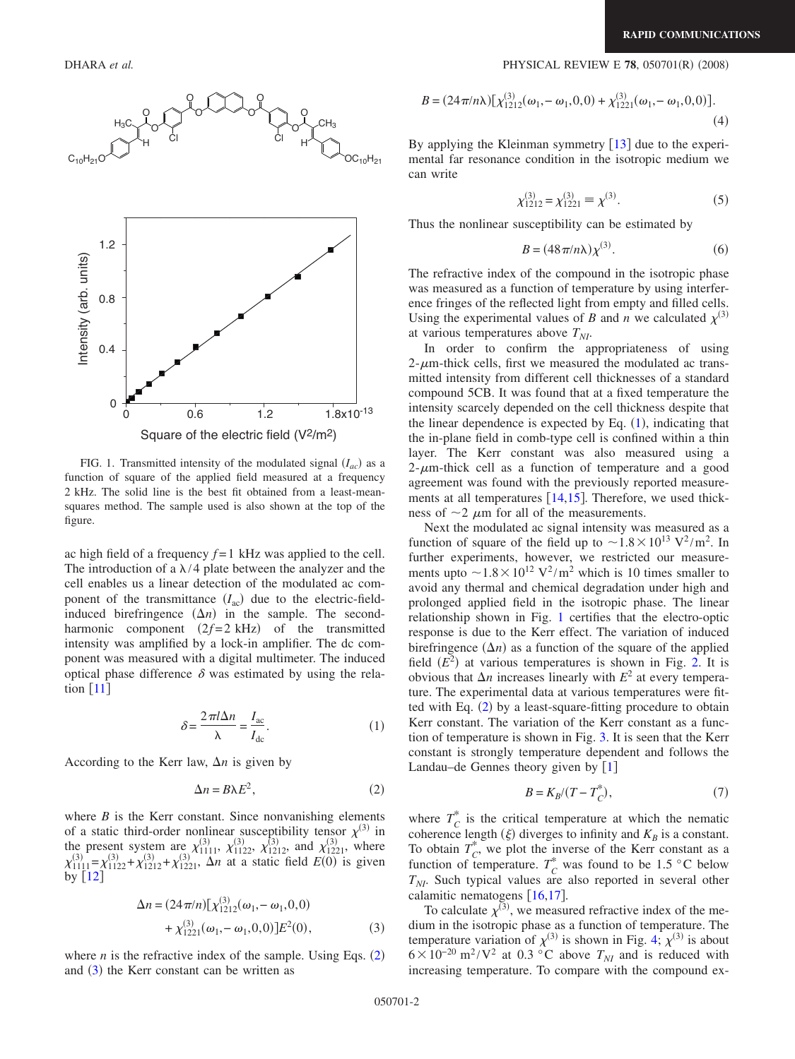<span id="page-1-0"></span>

FIG. 1. Transmitted intensity of the modulated signal  $(I_{ac})$  as a function of square of the applied field measured at a frequency 2 kHz. The solid line is the best fit obtained from a least-meansquares method. The sample used is also shown at the top of the figure.

ac high field of a frequency *f* =1 kHz was applied to the cell. The introduction of a  $\lambda$ /4 plate between the analyzer and the cell enables us a linear detection of the modulated ac component of the transmittance  $(I_{ac})$  due to the electric-fieldinduced birefringence  $(\Delta n)$  in the sample. The secondharmonic component  $(2f=2 \text{ kHz})$  of the transmitted intensity was amplified by a lock-in amplifier. The dc component was measured with a digital multimeter. The induced optical phase difference  $\delta$  was estimated by using the relation  $\lceil 11 \rceil$  $\lceil 11 \rceil$  $\lceil 11 \rceil$ 

$$
\delta = \frac{2\pi l \Delta n}{\lambda} = \frac{I_{ac}}{I_{dc}}.\tag{1}
$$

<span id="page-1-3"></span>According to the Kerr law,  $\Delta n$  is given by

$$
\Delta n = B\lambda E^2,\tag{2}
$$

<span id="page-1-1"></span>where  $B$  is the Kerr constant. Since nonvanishing elements of a static third-order nonlinear susceptibility tensor  $\chi^{(3)}$  in the present system are  $\chi_{1111}^{(3)}$ ,  $\chi_{1122}^{(3)}$ ,  $\chi_{1212}^{(3)}$ , and  $\chi_{1221}^{(3)}$ , where  $\chi_{1111}^{(3)} = \chi_{1122}^{(3)} + \chi_{1212}^{(3)} + \chi_{1221}^{(3)}$ ,  $\Delta n$  at a static field  $E(0)$  is given by  $\lfloor 12 \rfloor$  $\lfloor 12 \rfloor$  $\lfloor 12 \rfloor$ 

$$
\Delta n = (24\pi/n)[\chi_{1212}^{(3)}(\omega_1, -\omega_1, 0, 0) + \chi_{1221}^{(3)}(\omega_1, -\omega_1, 0, 0)]E^2(0),
$$
\n(3)

<span id="page-1-2"></span>where  $n$  is the refractive index of the sample. Using Eqs.  $(2)$  $(2)$  $(2)$ and  $(3)$  $(3)$  $(3)$  the Kerr constant can be written as

## **DHARA** et al. **2008** 2008) **PHYSICAL REVIEW E 78**, 050701(R) (2008)

$$
B = (24\pi/n\lambda) [\chi_{1212}^{(3)}(\omega_1, -\omega_1, 0, 0) + \chi_{1221}^{(3)}(\omega_1, -\omega_1, 0, 0)].
$$
\n(4)

By applying the Kleinman symmetry  $[13]$  $[13]$  $[13]$  due to the experimental far resonance condition in the isotropic medium we can write

$$
\chi_{1212}^{(3)} = \chi_{1221}^{(3)} \equiv \chi^{(3)}.\tag{5}
$$

Thus the nonlinear susceptibility can be estimated by

$$
B = (48\pi/n\lambda)\chi^{(3)}.
$$
 (6)

The refractive index of the compound in the isotropic phase was measured as a function of temperature by using interference fringes of the reflected light from empty and filled cells. Using the experimental values of *B* and *n* we calculated  $\chi^{(3)}$ at various temperatures above  $T_{NI}$ .

In order to confirm the appropriateness of using  $2$ - $\mu$ m-thick cells, first we measured the modulated ac transmitted intensity from different cell thicknesses of a standard compound 5CB. It was found that at a fixed temperature the intensity scarcely depended on the cell thickness despite that the linear dependence is expected by Eq.  $(1)$  $(1)$  $(1)$ , indicating that the in-plane field in comb-type cell is confined within a thin layer. The Kerr constant was also measured using a  $2-\mu$ m-thick cell as a function of temperature and a good agreement was found with the previously reported measurements at all temperatures  $[14, 15]$  $[14, 15]$  $[14, 15]$ . Therefore, we used thickness of  $\sim$ 2  $\mu$ m for all of the measurements.

Next the modulated ac signal intensity was measured as a function of square of the field up to  $\sim 1.8 \times 10^{13}$  V<sup>2</sup>/m<sup>2</sup>. In further experiments, however, we restricted our measurements upto  $\sim 1.8 \times 10^{12}$  V<sup>2</sup>/m<sup>2</sup> which is 10 times smaller to avoid any thermal and chemical degradation under high and prolonged applied field in the isotropic phase. The linear relationship shown in Fig. [1](#page-1-0) certifies that the electro-optic response is due to the Kerr effect. The variation of induced birefringence  $(\Delta n)$  as a function of the square of the applied field  $(E^2)$  at various temperatures is shown in Fig. [2.](#page-2-0) It is obvious that  $\Delta n$  increases linearly with  $E^2$  at every temperature. The experimental data at various temperatures were fit-ted with Eq. ([2](#page-1-1)) by a least-square-fitting procedure to obtain Kerr constant. The variation of the Kerr constant as a function of temperature is shown in Fig. [3.](#page-2-1) It is seen that the Kerr constant is strongly temperature dependent and follows the Landau–de Gennes theory given by  $[1]$  $[1]$  $[1]$ 

$$
B = K_B / (T - T_C^*),\tag{7}
$$

where  $T_c^*$  is the critical temperature at which the nematic coherence length  $(\xi)$  diverges to infinity and  $K_B$  is a constant. To obtain  $T_c^*$ , we plot the inverse of the Kerr constant as a function of temperature.  $T_C^*$  was found to be 1.5 °C below  $T_{NI}$ . Such typical values are also reported in several other calamitic nematogens  $[16,17]$  $[16,17]$  $[16,17]$  $[16,17]$ .

To calculate  $\chi^{(3)}$ , we measured refractive index of the medium in the isotropic phase as a function of temperature. The temperature variation of  $\chi^{(3)}$  is shown in Fig. [4;](#page-2-2)  $\chi^{(3)}$  is about  $6 \times 10^{-20}$  m<sup>2</sup>/V<sup>2</sup> at 0.3 °C above  $T_{NI}$  and is reduced with increasing temperature. To compare with the compound ex-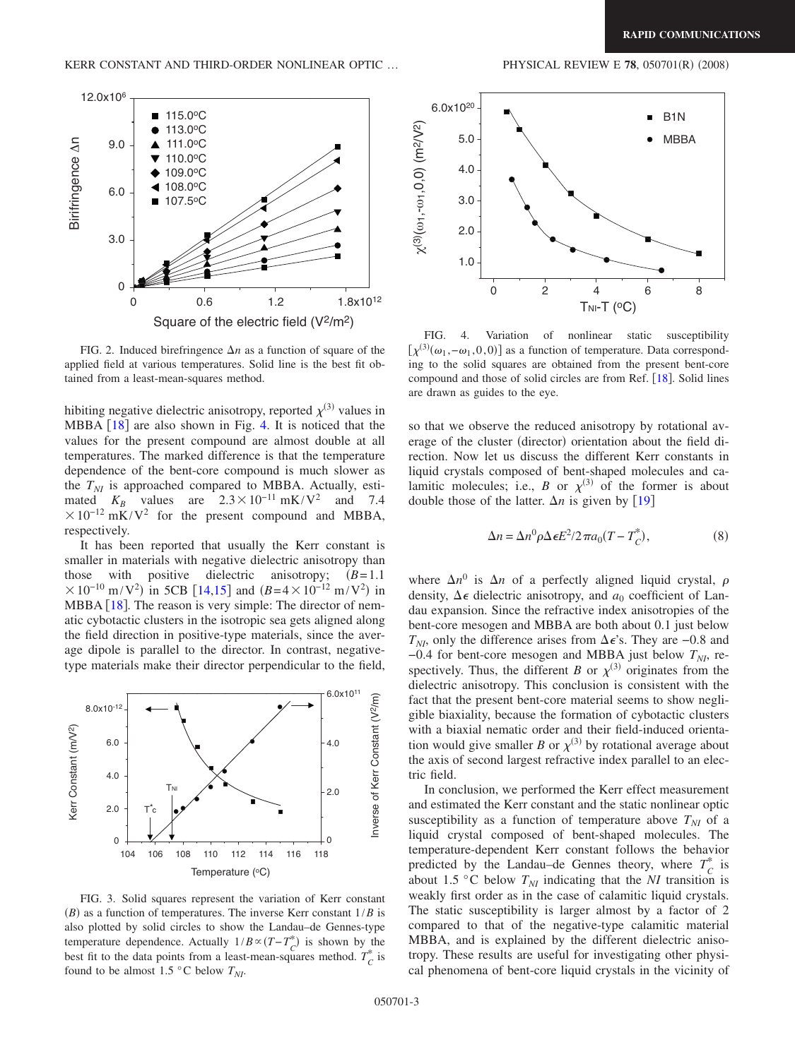<span id="page-2-0"></span>

FIG. 2. Induced birefringence  $\Delta n$  as a function of square of the applied field at various temperatures. Solid line is the best fit obtained from a least-mean-squares method.

hibiting negative dielectric anisotropy, reported  $\chi^{(3)}$  values in MBBA  $\lceil 18 \rceil$  $\lceil 18 \rceil$  $\lceil 18 \rceil$  are also shown in Fig. [4.](#page-2-2) It is noticed that the values for the present compound are almost double at all temperatures. The marked difference is that the temperature dependence of the bent-core compound is much slower as the  $T_{NI}$  is approached compared to MBBA. Actually, estimated  $K_B$  values are  $2.3 \times 10^{-11}$  mK/V<sup>2</sup> and 7.4  $\times 10^{-12}$  mK/V<sup>2</sup> for the present compound and MBBA, respectively.

It has been reported that usually the Kerr constant is smaller in materials with negative dielectric anisotropy than those with positive dielectric anisotropy;  $(B=1.1$  $\times 10^{-10}$  m/V<sup>2</sup>) in 5CB [[14,](#page-3-13)[15](#page-3-14)] and  $(B=4\times 10^{-12}$  m/V<sup>2</sup>) in MBBA  $[18]$  $[18]$  $[18]$ . The reason is very simple: The director of nematic cybotactic clusters in the isotropic sea gets aligned along the field direction in positive-type materials, since the average dipole is parallel to the director. In contrast, negativetype materials make their director perpendicular to the field,

<span id="page-2-1"></span>

FIG. 3. Solid squares represent the variation of Kerr constant  $(B)$  as a function of temperatures. The inverse Kerr constant  $1/B$  is also plotted by solid circles to show the Landau–de Gennes-type temperature dependence. Actually  $1/B \propto (T - T_C^*)$  is shown by the best fit to the data points from a least-mean-squares method.  $T_C^*$  is found to be almost 1.5  $\degree$ C below  $T_{NI}$ .

<span id="page-2-2"></span>

FIG. 4. Variation of nonlinear static susceptibility  $[\chi^{(3)}(\omega_1, -\omega_1, 0, 0)]$  as a function of temperature. Data corresponding to the solid squares are obtained from the present bent-core compound and those of solid circles are from Ref. [[18](#page-3-17)]. Solid lines are drawn as guides to the eye.

so that we observe the reduced anisotropy by rotational average of the cluster (director) orientation about the field direction. Now let us discuss the different Kerr constants in liquid crystals composed of bent-shaped molecules and calamitic molecules; i.e., *B* or  $\chi^{(3)}$  of the former is about double those of the latter.  $\Delta n$  is given by [[19](#page-3-18)]

$$
\Delta n = \Delta n^0 \rho \Delta \epsilon E^2 / 2 \pi a_0 (T - T_C^*),\tag{8}
$$

where  $\Delta n^0$  is  $\Delta n$  of a perfectly aligned liquid crystal,  $\rho$ density,  $\Delta \epsilon$  dielectric anisotropy, and  $a_0$  coefficient of Landau expansion. Since the refractive index anisotropies of the bent-core mesogen and MBBA are both about 0.1 just below *T<sub>NI</sub>*, only the difference arises from  $\Delta \epsilon$ 's. They are −0.8 and  $-0.4$  for bent-core mesogen and MBBA just below  $T_{NI}$ , respectively. Thus, the different *B* or  $\chi^{(3)}$  originates from the dielectric anisotropy. This conclusion is consistent with the fact that the present bent-core material seems to show negligible biaxiality, because the formation of cybotactic clusters with a biaxial nematic order and their field-induced orientation would give smaller *B* or  $\chi^{(3)}$  by rotational average about the axis of second largest refractive index parallel to an electric field.

In conclusion, we performed the Kerr effect measurement and estimated the Kerr constant and the static nonlinear optic susceptibility as a function of temperature above  $T_{NI}$  of a liquid crystal composed of bent-shaped molecules. The temperature-dependent Kerr constant follows the behavior predicted by the Landau–de Gennes theory, where  $T_c^*$  is about 1.5 °C below  $T_{NI}$  indicating that the *NI* transition is weakly first order as in the case of calamitic liquid crystals. The static susceptibility is larger almost by a factor of 2 compared to that of the negative-type calamitic material MBBA, and is explained by the different dielectric anisotropy. These results are useful for investigating other physical phenomena of bent-core liquid crystals in the vicinity of